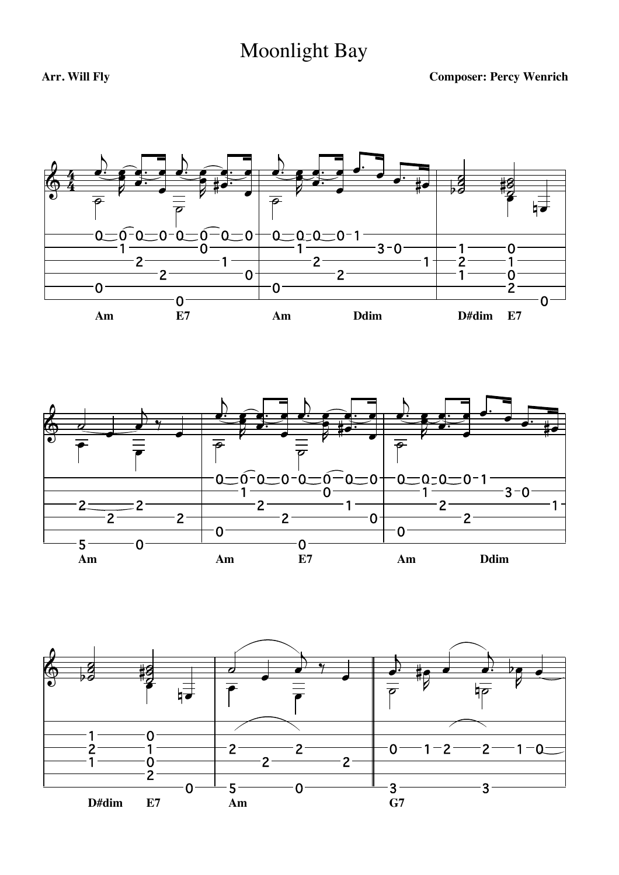## Moonlight Bay





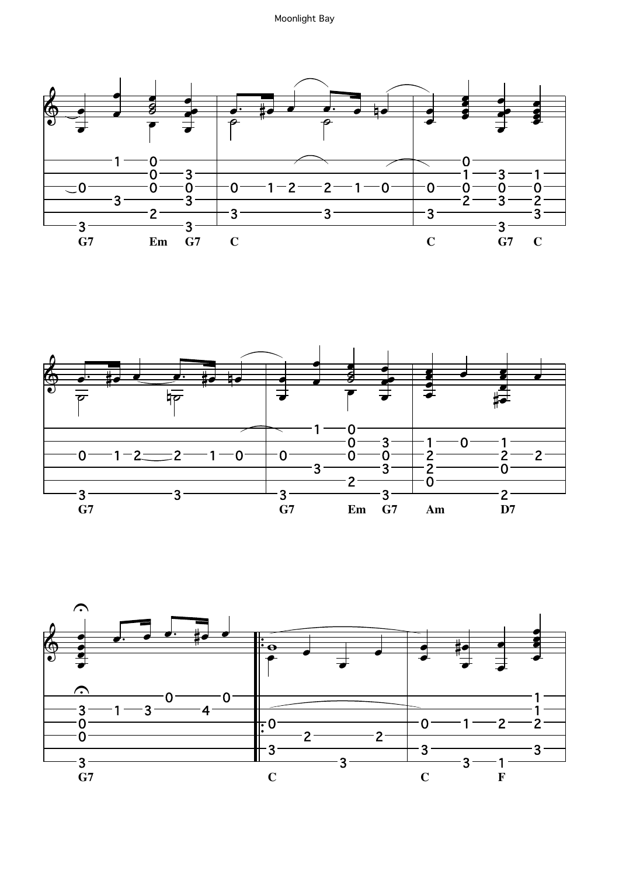



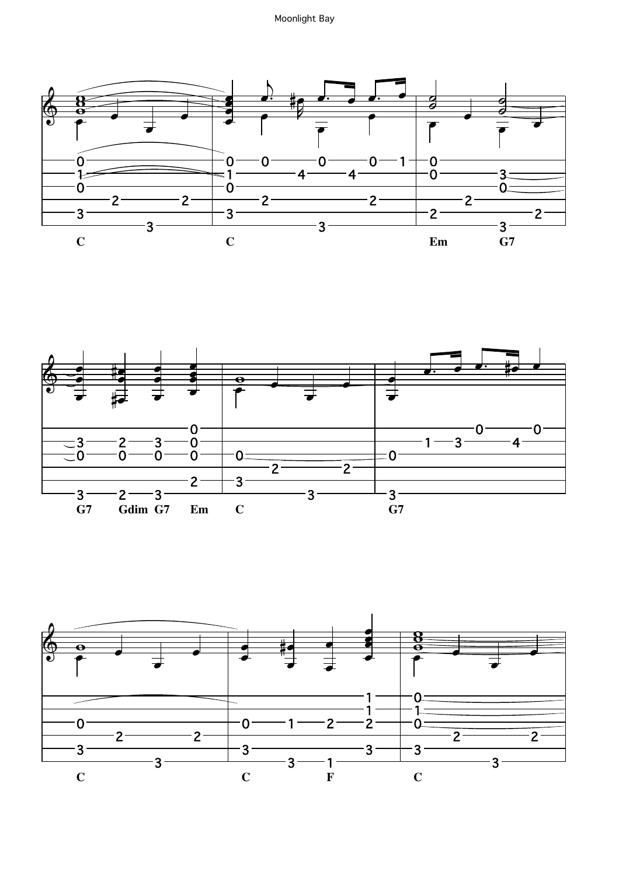